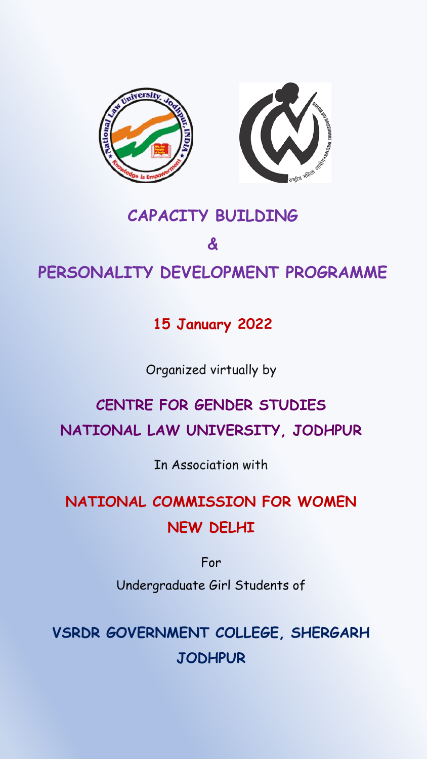

### **CAPACITY BUILDING**

### **&**

### **PERSONALITY DEVELOPMENT PROGRAMME**

### **15 January 2022**

#### Organized virtually by

# **CENTRE FOR GENDER STUDIES**

### **NATIONAL LAW UNIVERSITY, JODHPUR**

In Association with

## **NATIONAL COMMISSION FOR WOMEN NEW DELHI**

For

Undergraduate Girl Students of

**VSRDR GOVERNMENT COLLEGE, SHERGARH JODHPUR**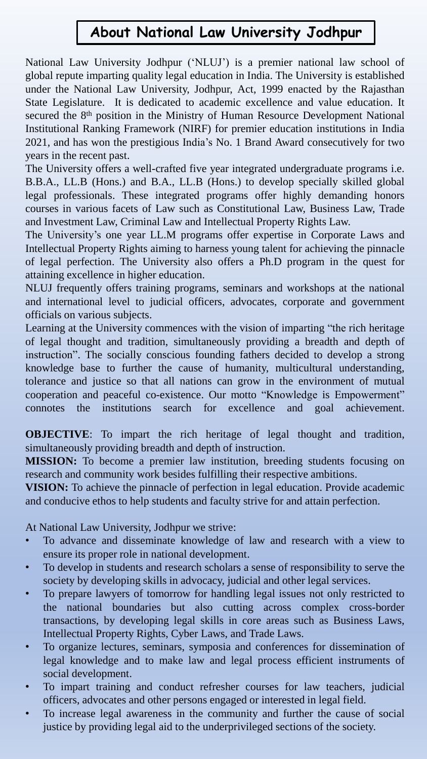### **About National Law University Jodhpur**

National Law University Jodhpur ('NLUJ') is a premier national law school of global repute imparting quality legal education in India. The University is established under the National Law University, Jodhpur, Act, 1999 enacted by the Rajasthan State Legislature. It is dedicated to academic excellence and value education. It secured the 8<sup>th</sup> position in the Ministry of Human Resource Development National Institutional Ranking Framework (NIRF) for premier education institutions in India 2021, and has won the prestigious India's No. 1 Brand Award consecutively for two years in the recent past.

The University offers a well-crafted five year integrated undergraduate programs i.e. B.B.A., LL.B (Hons.) and B.A., LL.B (Hons.) to develop specially skilled global legal professionals. These integrated programs offer highly demanding honors courses in various facets of Law such as Constitutional Law, Business Law, Trade and Investment Law, Criminal Law and Intellectual Property Rights Law.

The University's one year LL.M programs offer expertise in Corporate Laws and Intellectual Property Rights aiming to harness young talent for achieving the pinnacle of legal perfection. The University also offers a Ph.D program in the quest for attaining excellence in higher education.

NLUJ frequently offers training programs, seminars and workshops at the national and international level to judicial officers, advocates, corporate and government officials on various subjects.

Learning at the University commences with the vision of imparting "the rich heritage of legal thought and tradition, simultaneously providing a breadth and depth of instruction". The socially conscious founding fathers decided to develop a strong knowledge base to further the cause of humanity, multicultural understanding, tolerance and justice so that all nations can grow in the environment of mutual cooperation and peaceful co-existence. Our motto "Knowledge is Empowerment" connotes the institutions search for excellence and goal achievement.

**OBJECTIVE**: To impart the rich heritage of legal thought and tradition, simultaneously providing breadth and depth of instruction.

**MISSION:** To become a premier law institution, breeding students focusing on research and community work besides fulfilling their respective ambitions.

**VISION:** To achieve the pinnacle of perfection in legal education. Provide academic and conducive ethos to help students and faculty strive for and attain perfection.

At National Law University, Jodhpur we strive:

- To advance and disseminate knowledge of law and research with a view to ensure its proper role in national development.
- To develop in students and research scholars a sense of responsibility to serve the society by developing skills in advocacy, judicial and other legal services.
- To prepare lawyers of tomorrow for handling legal issues not only restricted to the national boundaries but also cutting across complex cross-border transactions, by developing legal skills in core areas such as Business Laws, Intellectual Property Rights, Cyber Laws, and Trade Laws.
- To organize lectures, seminars, symposia and conferences for dissemination of legal knowledge and to make law and legal process efficient instruments of social development.
- To impart training and conduct refresher courses for law teachers, judicial officers, advocates and other persons engaged or interested in legal field.
- To increase legal awareness in the community and further the cause of social justice by providing legal aid to the underprivileged sections of the society.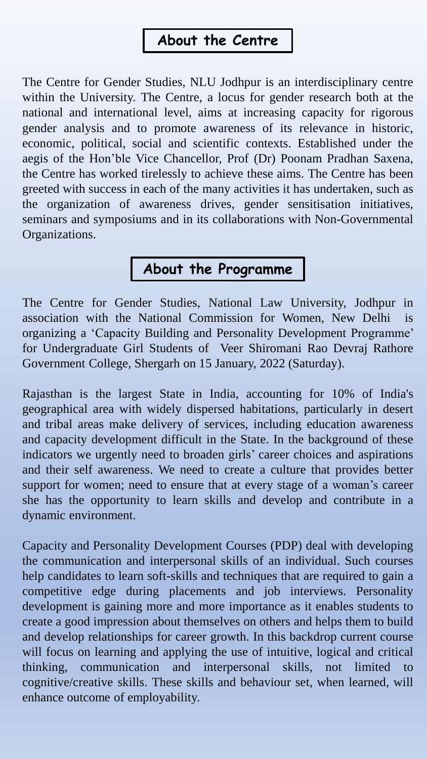### **About the Centre**

The Centre for Gender Studies, NLU Jodhpur is an interdisciplinary centre within the University. The Centre, a locus for gender research both at the national and international level, aims at increasing capacity for rigorous gender analysis and to promote awareness of its relevance in historic, economic, political, social and scientific contexts. Established under the aegis of the Hon'ble Vice Chancellor, Prof (Dr) Poonam Pradhan Saxena, the Centre has worked tirelessly to achieve these aims. The Centre has been greeted with success in each of the many activities it has undertaken, such as the organization of awareness drives, gender sensitisation initiatives, seminars and symposiums and in its collaborations with Non-Governmental Organizations.

### **About the Programme**

The Centre for Gender Studies, National Law University, Jodhpur in association with the National Commission for Women, New Delhi is organizing a 'Capacity Building and Personality Development Programme' for Undergraduate Girl Students of Veer Shiromani Rao Devraj Rathore Government College, Shergarh on 15 January, 2022 (Saturday).

Rajasthan is the largest State in India, accounting for 10% of India's geographical area with widely dispersed habitations, particularly in desert and tribal areas make delivery of services, including education awareness and capacity development difficult in the State. In the background of these indicators we urgently need to broaden girls' career choices and aspirations and their self awareness. We need to create a culture that provides better support for women; need to ensure that at every stage of a woman's career she has the opportunity to learn skills and develop and contribute in a dynamic environment.

Capacity and Personality Development Courses (PDP) deal with developing the communication and interpersonal skills of an individual. Such courses help candidates to learn soft-skills and techniques that are required to gain a competitive edge during placements and job interviews. Personality development is gaining more and more importance as it enables students to create a good impression about themselves on others and helps them to build and develop relationships for career growth. In this backdrop current course will focus on learning and applying the use of intuitive, logical and critical thinking, communication and interpersonal skills, not limited to cognitive/creative skills. These skills and behaviour set, when learned, will enhance outcome of employability.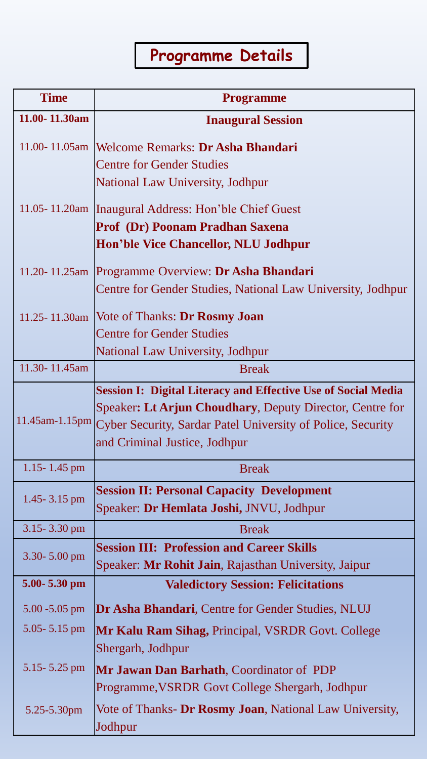# **Programme Details**

| <b>Time</b>       | <b>Programme</b>                                                            |
|-------------------|-----------------------------------------------------------------------------|
| 11.00-11.30am     | <b>Inaugural Session</b>                                                    |
|                   |                                                                             |
|                   | 11.00-11.05am   Welcome Remarks: Dr Asha Bhandari                           |
|                   | <b>Centre for Gender Studies</b><br><b>National Law University, Jodhpur</b> |
|                   |                                                                             |
|                   | 11.05-11.20am   Inaugural Address: Hon'ble Chief Guest                      |
|                   | <b>Prof (Dr) Poonam Pradhan Saxena</b>                                      |
|                   | Hon'ble Vice Chancellor, NLU Jodhpur                                        |
|                   | 11.20-11.25am Programme Overview: Dr Asha Bhandari                          |
|                   | Centre for Gender Studies, National Law University, Jodhpur                 |
| 11.25-11.30am     | Vote of Thanks: Dr Rosmy Joan                                               |
|                   | <b>Centre for Gender Studies</b>                                            |
|                   | <b>National Law University, Jodhpur</b>                                     |
| 11.30-11.45am     | <b>Break</b>                                                                |
|                   | <b>Session I: Digital Literacy and Effective Use of Social Media</b>        |
| $11.45$ am-1.15pm | Speaker: Lt Arjun Choudhary, Deputy Director, Centre for                    |
|                   | <b>Cyber Security, Sardar Patel University of Police, Security</b>          |
|                   | and Criminal Justice, Jodhpur                                               |
| 1.15-1.45 pm      | <b>Break</b>                                                                |
| 1.45 - $3.15$ pm  | <b>Session II: Personal Capacity Development</b>                            |
|                   | Speaker: Dr Hemlata Joshi, JNVU, Jodhpur                                    |
| $3.15 - 3.30$ pm  | <b>Break</b>                                                                |
| $3.30 - 5.00$ pm  | <b>Session III: Profession and Career Skills</b>                            |
|                   | Speaker: Mr Rohit Jain, Rajasthan University, Jaipur                        |
| 5.00-5.30 pm      | <b>Valedictory Session: Felicitations</b>                                   |
| $5.00 - 5.05$ pm  | <b>Dr Asha Bhandari, Centre for Gender Studies, NLUJ</b>                    |
| $5.05 - 5.15$ pm  | Mr Kalu Ram Sihag, Principal, VSRDR Govt. College                           |
|                   | Shergarh, Jodhpur                                                           |
| $5.15 - 5.25$ pm  | <b>Mr Jawan Dan Barhath, Coordinator of PDP</b>                             |
|                   | Programme, VSRDR Govt College Shergarh, Jodhpur                             |
| 5.25-5.30pm       | Vote of Thanks- Dr Rosmy Joan, National Law University,                     |
|                   | Jodhpur                                                                     |